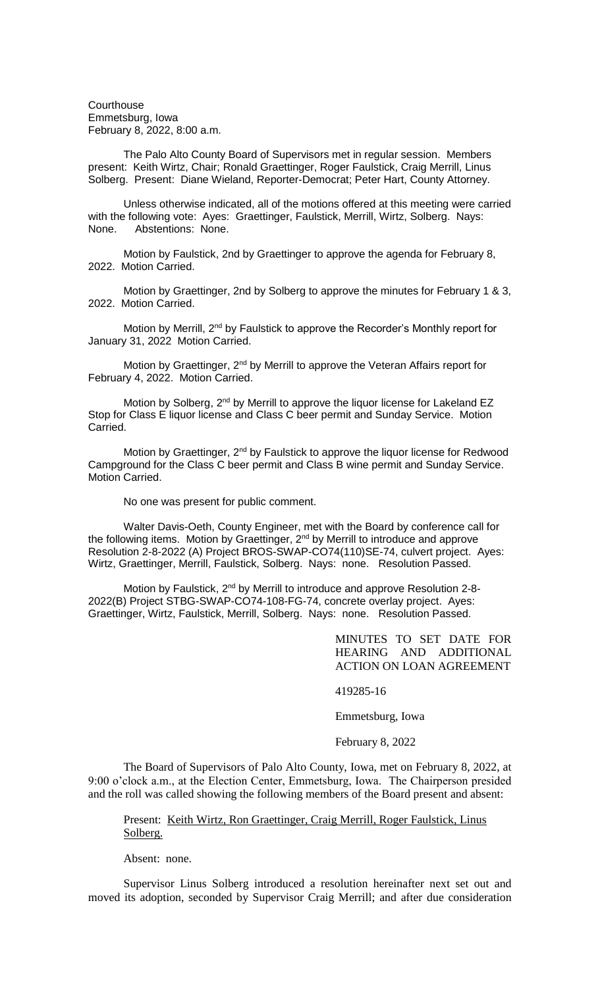**Courthouse** Emmetsburg, Iowa February 8, 2022, 8:00 a.m.

The Palo Alto County Board of Supervisors met in regular session. Members present: Keith Wirtz, Chair; Ronald Graettinger, Roger Faulstick, Craig Merrill, Linus Solberg. Present: Diane Wieland, Reporter-Democrat; Peter Hart, County Attorney.

Unless otherwise indicated, all of the motions offered at this meeting were carried with the following vote: Ayes: Graettinger, Faulstick, Merrill, Wirtz, Solberg. Nays: None. Abstentions: None.

Motion by Faulstick, 2nd by Graettinger to approve the agenda for February 8, 2022. Motion Carried.

Motion by Graettinger, 2nd by Solberg to approve the minutes for February 1 & 3, 2022. Motion Carried.

Motion by Merrill, 2<sup>nd</sup> by Faulstick to approve the Recorder's Monthly report for January 31, 2022 Motion Carried.

Motion by Graettinger, 2<sup>nd</sup> by Merrill to approve the Veteran Affairs report for February 4, 2022. Motion Carried.

Motion by Solberg, 2<sup>nd</sup> by Merrill to approve the liquor license for Lakeland EZ Stop for Class E liquor license and Class C beer permit and Sunday Service. Motion Carried.

Motion by Graettinger, 2<sup>nd</sup> by Faulstick to approve the liquor license for Redwood Campground for the Class C beer permit and Class B wine permit and Sunday Service. Motion Carried.

No one was present for public comment.

Walter Davis-Oeth, County Engineer, met with the Board by conference call for the following items. Motion by Graettinger, 2<sup>nd</sup> by Merrill to introduce and approve Resolution 2-8-2022 (A) Project BROS-SWAP-CO74(110)SE-74, culvert project. Ayes: Wirtz, Graettinger, Merrill, Faulstick, Solberg. Nays: none. Resolution Passed.

Motion by Faulstick, 2<sup>nd</sup> by Merrill to introduce and approve Resolution 2-8-2022(B) Project STBG-SWAP-CO74-108-FG-74, concrete overlay project. Ayes: Graettinger, Wirtz, Faulstick, Merrill, Solberg. Nays: none. Resolution Passed.

> MINUTES TO SET DATE FOR HEARING AND ADDITIONAL ACTION ON LOAN AGREEMENT

419285-16

Emmetsburg, Iowa

February 8, 2022

The Board of Supervisors of Palo Alto County, Iowa, met on February 8, 2022, at 9:00 o'clock a.m., at the Election Center, Emmetsburg, Iowa. The Chairperson presided and the roll was called showing the following members of the Board present and absent:

## Present: Keith Wirtz, Ron Graettinger, Craig Merrill, Roger Faulstick, Linus Solberg.

Absent: none.

Supervisor Linus Solberg introduced a resolution hereinafter next set out and moved its adoption, seconded by Supervisor Craig Merrill; and after due consideration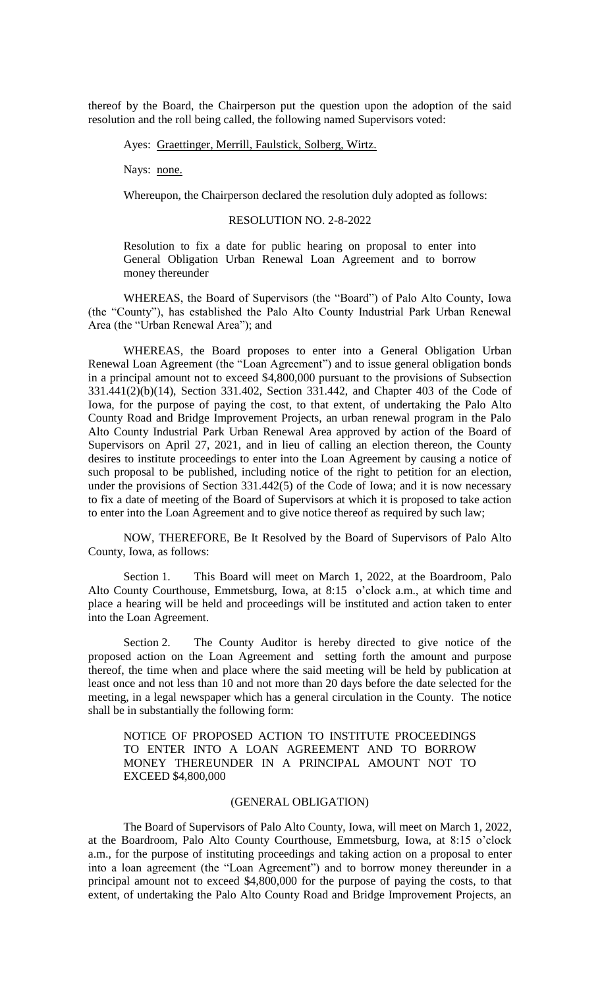thereof by the Board, the Chairperson put the question upon the adoption of the said resolution and the roll being called, the following named Supervisors voted:

Ayes: Graettinger, Merrill, Faulstick, Solberg, Wirtz.

Nays: none.

Whereupon, the Chairperson declared the resolution duly adopted as follows:

## RESOLUTION NO. 2-8-2022

Resolution to fix a date for public hearing on proposal to enter into General Obligation Urban Renewal Loan Agreement and to borrow money thereunder

WHEREAS, the Board of Supervisors (the "Board") of Palo Alto County, Iowa (the "County"), has established the Palo Alto County Industrial Park Urban Renewal Area (the "Urban Renewal Area"); and

WHEREAS, the Board proposes to enter into a General Obligation Urban Renewal Loan Agreement (the "Loan Agreement") and to issue general obligation bonds in a principal amount not to exceed \$4,800,000 pursuant to the provisions of Subsection 331.441(2)(b)(14), Section 331.402, Section 331.442, and Chapter 403 of the Code of Iowa, for the purpose of paying the cost, to that extent, of undertaking the Palo Alto County Road and Bridge Improvement Projects, an urban renewal program in the Palo Alto County Industrial Park Urban Renewal Area approved by action of the Board of Supervisors on April 27, 2021, and in lieu of calling an election thereon, the County desires to institute proceedings to enter into the Loan Agreement by causing a notice of such proposal to be published, including notice of the right to petition for an election, under the provisions of Section 331.442(5) of the Code of Iowa; and it is now necessary to fix a date of meeting of the Board of Supervisors at which it is proposed to take action to enter into the Loan Agreement and to give notice thereof as required by such law;

NOW, THEREFORE, Be It Resolved by the Board of Supervisors of Palo Alto County, Iowa, as follows:

Section 1. This Board will meet on March 1, 2022, at the Boardroom, Palo Alto County Courthouse, Emmetsburg, Iowa, at 8:15 o'clock a.m., at which time and place a hearing will be held and proceedings will be instituted and action taken to enter into the Loan Agreement.

Section 2. The County Auditor is hereby directed to give notice of the proposed action on the Loan Agreement and setting forth the amount and purpose thereof, the time when and place where the said meeting will be held by publication at least once and not less than 10 and not more than 20 days before the date selected for the meeting, in a legal newspaper which has a general circulation in the County. The notice shall be in substantially the following form:

NOTICE OF PROPOSED ACTION TO INSTITUTE PROCEEDINGS TO ENTER INTO A LOAN AGREEMENT AND TO BORROW MONEY THEREUNDER IN A PRINCIPAL AMOUNT NOT TO EXCEED \$4,800,000

## (GENERAL OBLIGATION)

The Board of Supervisors of Palo Alto County, Iowa, will meet on March 1, 2022, at the Boardroom, Palo Alto County Courthouse, Emmetsburg, Iowa, at 8:15 o'clock a.m., for the purpose of instituting proceedings and taking action on a proposal to enter into a loan agreement (the "Loan Agreement") and to borrow money thereunder in a principal amount not to exceed \$4,800,000 for the purpose of paying the costs, to that extent, of undertaking the Palo Alto County Road and Bridge Improvement Projects, an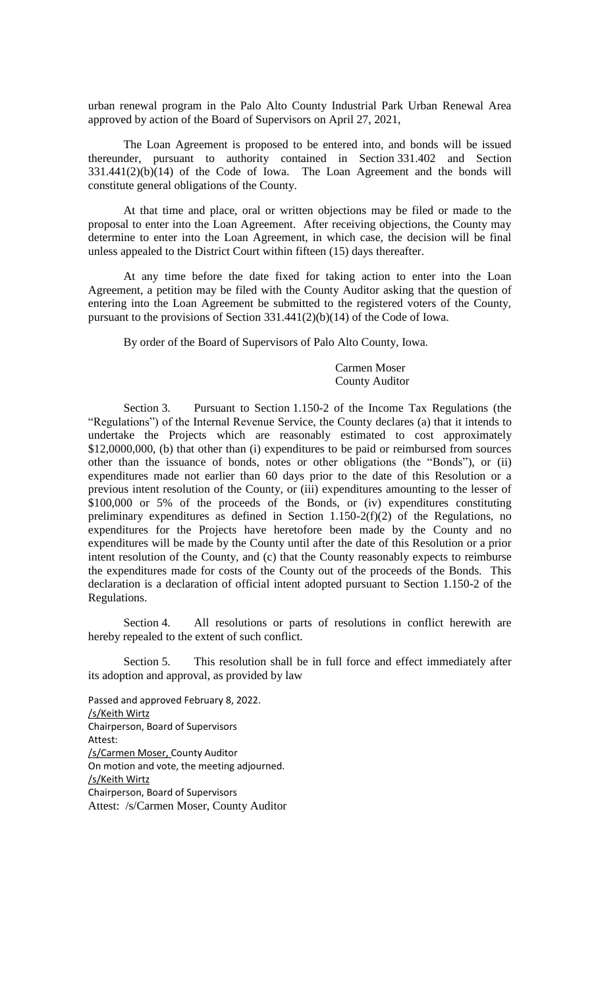urban renewal program in the Palo Alto County Industrial Park Urban Renewal Area approved by action of the Board of Supervisors on April 27, 2021,

The Loan Agreement is proposed to be entered into, and bonds will be issued thereunder, pursuant to authority contained in Section 331.402 and Section 331.441(2)(b)(14) of the Code of Iowa. The Loan Agreement and the bonds will constitute general obligations of the County.

At that time and place, oral or written objections may be filed or made to the proposal to enter into the Loan Agreement. After receiving objections, the County may determine to enter into the Loan Agreement, in which case, the decision will be final unless appealed to the District Court within fifteen (15) days thereafter.

At any time before the date fixed for taking action to enter into the Loan Agreement, a petition may be filed with the County Auditor asking that the question of entering into the Loan Agreement be submitted to the registered voters of the County, pursuant to the provisions of Section 331.441(2)(b)(14) of the Code of Iowa.

By order of the Board of Supervisors of Palo Alto County, Iowa.

Carmen Moser County Auditor

Section 3. Pursuant to Section 1.150-2 of the Income Tax Regulations (the "Regulations") of the Internal Revenue Service, the County declares (a) that it intends to undertake the Projects which are reasonably estimated to cost approximately \$12,0000,000, (b) that other than (i) expenditures to be paid or reimbursed from sources other than the issuance of bonds, notes or other obligations (the "Bonds"), or (ii) expenditures made not earlier than 60 days prior to the date of this Resolution or a previous intent resolution of the County, or (iii) expenditures amounting to the lesser of \$100,000 or 5% of the proceeds of the Bonds, or (iv) expenditures constituting preliminary expenditures as defined in Section 1.150-2(f)(2) of the Regulations, no expenditures for the Projects have heretofore been made by the County and no expenditures will be made by the County until after the date of this Resolution or a prior intent resolution of the County, and (c) that the County reasonably expects to reimburse the expenditures made for costs of the County out of the proceeds of the Bonds. This declaration is a declaration of official intent adopted pursuant to Section 1.150-2 of the Regulations.

Section 4. All resolutions or parts of resolutions in conflict herewith are hereby repealed to the extent of such conflict.

Section 5. This resolution shall be in full force and effect immediately after its adoption and approval, as provided by law

Passed and approved February 8, 2022. /s/Keith Wirtz Chairperson, Board of Supervisors Attest: /s/Carmen Moser, County Auditor On motion and vote, the meeting adjourned. /s/Keith Wirtz Chairperson, Board of Supervisors Attest: /s/Carmen Moser, County Auditor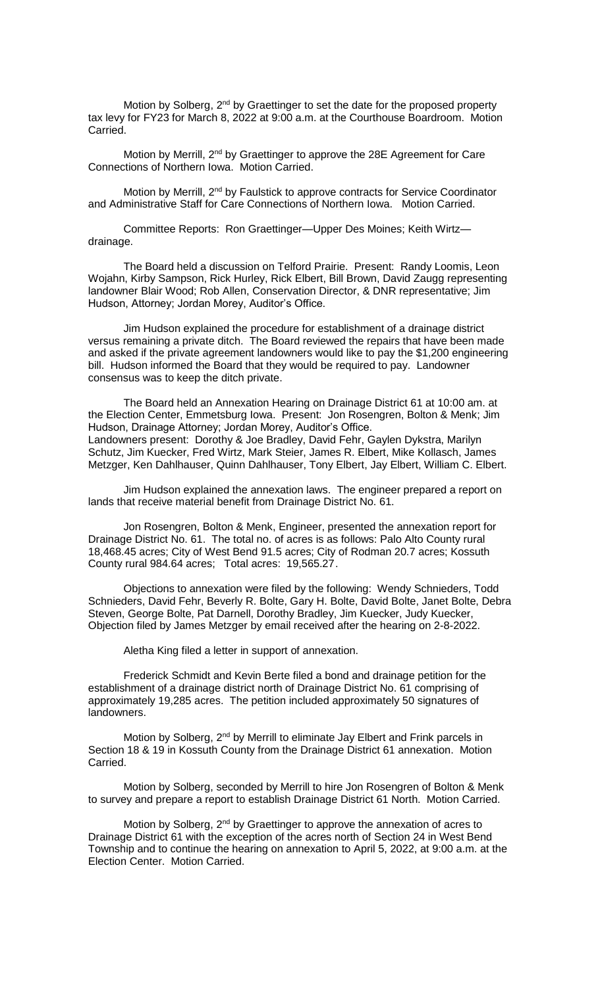Motion by Solberg, 2<sup>nd</sup> by Graettinger to set the date for the proposed property tax levy for FY23 for March 8, 2022 at 9:00 a.m. at the Courthouse Boardroom. Motion Carried.

Motion by Merrill, 2<sup>nd</sup> by Graettinger to approve the 28E Agreement for Care Connections of Northern Iowa. Motion Carried.

Motion by Merrill, 2<sup>nd</sup> by Faulstick to approve contracts for Service Coordinator and Administrative Staff for Care Connections of Northern Iowa. Motion Carried.

Committee Reports: Ron Graettinger—Upper Des Moines; Keith Wirtz drainage.

The Board held a discussion on Telford Prairie. Present: Randy Loomis, Leon Wojahn, Kirby Sampson, Rick Hurley, Rick Elbert, Bill Brown, David Zaugg representing landowner Blair Wood; Rob Allen, Conservation Director, & DNR representative; Jim Hudson, Attorney; Jordan Morey, Auditor's Office.

Jim Hudson explained the procedure for establishment of a drainage district versus remaining a private ditch. The Board reviewed the repairs that have been made and asked if the private agreement landowners would like to pay the \$1,200 engineering bill. Hudson informed the Board that they would be required to pay. Landowner consensus was to keep the ditch private.

The Board held an Annexation Hearing on Drainage District 61 at 10:00 am. at the Election Center, Emmetsburg Iowa. Present: Jon Rosengren, Bolton & Menk; Jim Hudson, Drainage Attorney; Jordan Morey, Auditor's Office. Landowners present: Dorothy & Joe Bradley, David Fehr, Gaylen Dykstra, Marilyn Schutz, Jim Kuecker, Fred Wirtz, Mark Steier, James R. Elbert, Mike Kollasch, James Metzger, Ken Dahlhauser, Quinn Dahlhauser, Tony Elbert, Jay Elbert, William C. Elbert.

Jim Hudson explained the annexation laws. The engineer prepared a report on lands that receive material benefit from Drainage District No. 61.

Jon Rosengren, Bolton & Menk, Engineer, presented the annexation report for Drainage District No. 61. The total no. of acres is as follows: Palo Alto County rural 18,468.45 acres; City of West Bend 91.5 acres; City of Rodman 20.7 acres; Kossuth County rural 984.64 acres; Total acres: 19,565.27.

Objections to annexation were filed by the following: Wendy Schnieders, Todd Schnieders, David Fehr, Beverly R. Bolte, Gary H. Bolte, David Bolte, Janet Bolte, Debra Steven, George Bolte, Pat Darnell, Dorothy Bradley, Jim Kuecker, Judy Kuecker, Objection filed by James Metzger by email received after the hearing on 2-8-2022.

Aletha King filed a letter in support of annexation.

Frederick Schmidt and Kevin Berte filed a bond and drainage petition for the establishment of a drainage district north of Drainage District No. 61 comprising of approximately 19,285 acres. The petition included approximately 50 signatures of landowners.

Motion by Solberg, 2<sup>nd</sup> by Merrill to eliminate Jay Elbert and Frink parcels in Section 18 & 19 in Kossuth County from the Drainage District 61 annexation. Motion Carried.

Motion by Solberg, seconded by Merrill to hire Jon Rosengren of Bolton & Menk to survey and prepare a report to establish Drainage District 61 North. Motion Carried.

Motion by Solberg, 2<sup>nd</sup> by Graettinger to approve the annexation of acres to Drainage District 61 with the exception of the acres north of Section 24 in West Bend Township and to continue the hearing on annexation to April 5, 2022, at 9:00 a.m. at the Election Center. Motion Carried.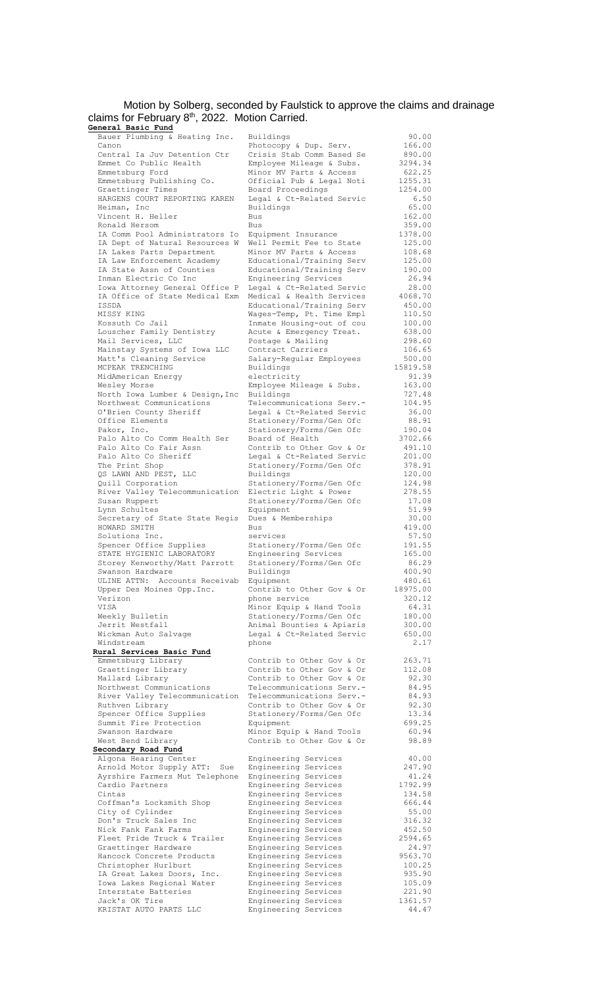Motion by Solberg, seconded by Faulstick to approve the claims and drainage claims for February 8<sup>th</sup>, 2022. Motion Carried.

**General Basic Fund** Bauer Plumbing & Heating Inc. Buildings 90.00 IA Dept of Natural Resources W Lynn Schultes **Equipment Rural Services Basic Fund Secondary Road Fund** KRISTAT AUTO PARTS LLC Engineering Services 44.47

Canon **Photocopy & Dup. Serv.** 166.00 Central Ia Juv Detention Ctr Crisis Stab Comm Based Se 890.00 Emmet Co Public Health Bmployee Mileage & Subs. 3294.34 Emmetsburg Ford Minor MV Parts & Access 622.25 Emmetsburg Publishing Co. Official Pub & Legal Noti 1255.31 Graettinger Times **Board Proceedings** 1254.00 HARGENS COURT REPORTING KAREN Legal & Ct-Related Servic 6.50 Heiman, Inc Buildings 65.00 Vincent H. Heller Bus 162.00 Ronald Hersom Bus 359.00 IA Comm Pool Administrators Io Equipment Insurance 1378.00<br>
IA Dept of Natural Resources W Well Permit Fee to State 125.00<br>
IA Lakes Parts Department Minor MV Parts & Access 108.68 IA Lakes Parts Department Minor MV Parts & Access 108.68 IA Law Enforcement Academy Educational/Training Serv 125.00 IA State Assn of Counties Educational/Training Serv 190.00 Inman Electric Co Inc Engineering Services 26.94 Iowa Attorney General Office P Legal & Ct-Related Servic 28.00 IA Office of State Medical Exm Medical & Health Services 4068.70<br>
ISSDA Bducational/Training Serv 450.00<br>
MISSY KING Wages-Temp, Pt. Time Empl 110.50 Educational/Training Serv MISSY KING Wages-Temp, Pt. Time Empl 110.50 Inmate Housing-out of cou 100.00<br>Acute & Emergency Treat. 638.00<br>Postage & Mailing 298.60 Louscher Family Dentistry Acute & Emergency Treat. 638.00 Mail Services, LLC Postage & Mailing 298.60 Mainstay Systems of Iowa LLC Contract Carriers 106.65 Matt's Cleaning Service Salary-Regular Employees 500.00 MCPEAK TRENCHING Buildings 15819.58 MidAmerican Energy electricity 91.39 Employee Mileage & Subs.  $163.00$ <br>Buildings 727.48 North Iowa Lumber & Design,Inc Buildings 727.48 Northwest Communications Telecommunications Serv.- 104.95 O'Brien County Sheriff Legal & Ct-Related Servic 36.00 Office Elements Stationery/Forms/Gen Ofc 88.91 Pakor, Inc.  $\text{Stationery/Forms/Gen Ofc}$  190.04 Palo Alto Co Comm Health Ser Board of Health 3702.66 Palo Alto Co Fair Assn Contrib to Other Gov & Or 491.10 Palo Alto Co Sheriff Legal & Ct-Related Servic 201.00 The Print Shop Stationery/Forms/Gen Ofc 378.91 QS LAWN AND PEST, LLC Buildings 120.00 Quill Corporation Stationery/Forms/Gen Ofc 124.98 Extra Componential Contraction Contraction Contraction Control Control Control Control Control Control Control Control Control Control Control Control Control Control Control Control Control Control Control Control Control Stationery/Forms/Gen Ofc Secretary of State State Regis Dues & Memberships 30.00<br>HOWARD SMITH Bus 819.00 HOWARD SMITH Bus Bus 419.00<br>Solutions Inc. Services 57.50 Solutions Inc. Services 57.50<br>
Spencer Office Supplies Stationery/Forms/Gen Ofc 191.55<br>
STATE HYGIENIC LABORATORY Engineering Services 165.00<br>
Storey Kenworthy/Matt Parrott Stationery/Forms/Gen Ofc 86.29 Spencer Office Supplies Stationery/Forms/Gen Ofc 191.55 STATE HYGIENIC LABORATORY Engineering Services 165.00 Storey Kenworthy/Matt Parrott Stationery/Forms/Gen Ofc 86.29 Swanson Hardware Buildings 400.90 ULINE ATTN: Accounts Receivab Equipment 480.61 Upper Des Moines Opp.Inc. Contrib to Other Gov & Or 18975.00 Verizon phone service 320.12 VISA Minor Equip & Hand Tools 64.31 Weekly Bulletin Stationery/Forms/Gen Ofc 180.00 Jerrit Westfall Animal Bounties & Apiaris 300.00 Wickman Auto Salvage The Legal & Ct-Related Servic 650.00 Windstream phone 2.17 Emmetsburg Library Contrib to Other Gov & Or 263.71 Graettinger Library **Contribution** Contrib to Other Gov & Or 112.08 Mallard Library **Contribution** Contribution Comes Contribution Communication Mallard 192.30 Northwest Communications Telecommunications Serv.- 84.95 River Valley Telecommunication Telecommunications Serv.- 84.93 Ruthven Library **Contributo Contribustion** Contributo Other Gov & Or 82.30 Spencer Office Supplies Stationery/Forms/Gen Ofc 13.34 Summit Fire Protection **Equipment** 699.25 Swanson Hardware The Minor Equip & Hand Tools 60.94 West Bend Library **Contributo** Contribution Comer Gov & Or 98.89 Algona Hearing Center Engineering Services 40.00 Arnold Motor Supply ATT: Sue Engineering Services 247.90 Ayrshire Farmers Mut Telephone Engineering Services 41.24 Cardio Partners Engineering Services 1792.99 Cintas Engineering Services 134.58 Coffman's Locksmith Shop Engineering Services 666.44 City of Cylinder Engineering Services 55.00 Don's Truck Sales Inc Engineering Services 316.32 Nick Fank Fank Farms Engineering Services 452.50 Fleet Pride Truck & Trailer Engineering Services 2594.65 Graettinger Hardware Engineering Services 24.97 Hancock Concrete Products Engineering Services 9563.70 Christopher Hurlburt Engineering Services 100.25 IA Great Lakes Doors, Inc. Bigineering Services 835.90 Iowa Lakes Regional Water Engineering Services 105.09 Interstate Batteries Engineering Services 221.90 Iowa Lakes Regional water and Engineering Services (221.90<br>
Jack's OK Tire (Engineering Services 1361.57<br>
KRISTAT AUTO PARTS LLC (Engineering Services 14.47